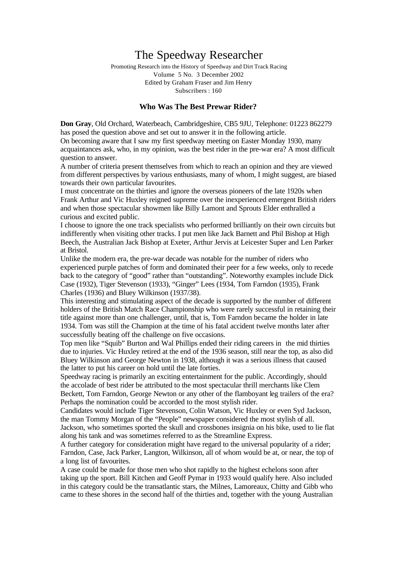# The Speedway Researcher

Promoting Research into the History of Speedway and Dirt Track Racing Volume 5 No. 3 December 2002 Edited by Graham Fraser and Jim Henry Subscribers : 160

# **Who Was The Best Prewar Rider?**

**Don Gray**, Old Orchard, Waterbeach, Cambridgeshire, CB5 9JU, Telephone: 01223 862279 has posed the question above and set out to answer it in the following article. On becoming aware that I saw my first speedway meeting on Easter Monday 1930, many acquaintances ask, who, in my opinion, was the best rider in the pre-war era? A most difficult question to answer.

A number of criteria present themselves from which to reach an opinion and they are viewed from different perspectives by various enthusiasts, many of whom, I might suggest, are biased towards their own particular favourites.

I must concentrate on the thirties and ignore the overseas pioneers of the late 1920s when Frank Arthur and Vic Huxley reigned supreme over the inexperienced emergent British riders and when those spectacular showmen like Billy Lamont and Sprouts Elder enthralled a curious and excited public.

I choose to ignore the one track specialists who performed brilliantly on their own circuits but indifferently when visiting other tracks. I put men like Jack Barnett and Phil Bishop at High Beech, the Australian Jack Bishop at Exeter, Arthur Jervis at Leicester Super and Len Parker at Bristol.

Unlike the modern era, the pre-war decade was notable for the number of riders who experienced purple patches of form and dominated their peer for a few weeks, only to recede back to the category of "good" rather than "outstanding". Noteworthy examples include Dick Case (1932), Tiger Stevenson (1933), "Ginger" Lees (1934, Tom Farndon (1935), Frank Charles (1936) and Bluey Wilkinson (1937/38).

This interesting and stimulating aspect of the decade is supported by the number of different holders of the British Match Race Championship who were rarely successful in retaining their title against more than one challenger, until, that is, Tom Farndon became the holder in late 1934. Tom was still the Champion at the time of his fatal accident twelve months later after successfully beating off the challenge on five occasions.

Top men like "Squib" Burton and Wal Phillips ended their riding careers in the mid thirties due to injuries. Vic Huxley retired at the end of the 1936 season, still near the top, as also did Bluey Wilkinson and George Newton in 1938, although it was a serious illness that caused the latter to put his career on hold until the late forties.

Speedway racing is primarily an exciting entertainment for the public. Accordingly, should the accolade of best rider be attributed to the most spectacular thrill merchants like Clem Beckett, Tom Farndon, George Newton or any other of the flamboyant leg trailers of the era? Perhaps the nomination could be accorded to the most stylish rider.

Candidates would include Tiger Stevenson, Colin Watson, Vic Huxley or even Syd Jackson, the man Tommy Morgan of the "People" newspaper considered the most stylish of all. Jackson, who sometimes sported the skull and crossbones insignia on his bike, used to lie flat along his tank and was sometimes referred to as the Streamline Express.

A further category for consideration might have regard to the universal popularity of a rider; Farndon, Case, Jack Parker, Langton, Wilkinson, all of whom would be at, or near, the top of a long list of favourites.

A case could be made for those men who shot rapidly to the highest echelons soon after taking up the sport. Bill Kitchen and Geoff Pymar in 1933 would qualify here. Also included in this category could be the transatlantic stars, the Milnes, Lamoreaux, Chitty and Gibb who came to these shores in the second half of the thirties and, together with the young Australian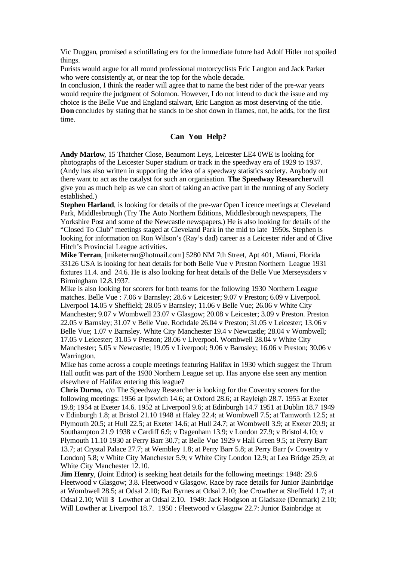Vic Duggan, promised a scintillating era for the immediate future had Adolf Hitler not spoiled things.

Purists would argue for all round professional motorcyclists Eric Langton and Jack Parker who were consistently at, or near the top for the whole decade.

In conclusion, I think the reader will agree that to name the best rider of the pre-war years would require the judgment of Solomon. However, I do not intend to duck the issue and my choice is the Belle Vue and England stalwart, Eric Langton as most deserving of the title. **Don** concludes by stating that he stands to be shot down in flames, not, he adds, for the first time.

# **Can You Help?**

**Andy Marlow**, 15 Thatcher Close, Beaumont Leys, Leicester LE4 0WE is looking for photographs of the Leicester Super stadium or track in the speedway era of 1929 to 1937. (Andy has also written in supporting the idea of a speedway statistics society. Anybody out there want to act as the catalyst for such an organisation. **The Speedway Researcher**will give you as much help as we can short of taking an active part in the running of any Society established.)

**Stephen Harland**, is looking for details of the pre-war Open Licence meetings at Cleveland Park, Middlesbrough (Try The Auto Northern Editions, Middlesbrough newspapers, The Yorkshire Post and some of the Newcastle newspapers.) He is also looking for details of the "Closed To Club" meetings staged at Cleveland Park in the mid to late 1950s. Stephen is looking for information on Ron Wilson's (Ray's dad) career as a Leicester rider and of Clive Hitch's Provincial League activities.

**Mike Terran**, [miketerran@hotmail.com] 5280 NM 7th Street, Apt 401, Miami, Florida 33126 USA is looking for heat details for both Belle Vue v Preston Northern League 1931 fixtures 11.4. and 24.6. He is also looking for heat details of the Belle Vue Merseysiders v Birmingham 12.8.1937.

Mike is also looking for scorers for both teams for the following 1930 Northern League matches. Belle Vue : 7.06 v Barnsley; 28.6 v Leicester; 9.07 v Preston; 6.09 v Liverpool. Liverpool 14.05 v Sheffield; 28.05 v Barnsley; 11.06 v Belle Vue; 26.06 v White City Manchester; 9.07 v Wombwell 23.07 v Glasgow; 20.08 v Leicester; 3.09 v Preston. Preston 22.05 v Barnsley; 31.07 v Belle Vue. Rochdale 26.04 v Preston; 31.05 v Leicester; 13.06 v Belle Vue; 1.07 v Barnsley. White City Manchester 19.4 v Newcastle; 28.04 v Wombwell; 17.05 v Leicester; 31.05 v Preston; 28.06 v Liverpool. Wombwell 28.04 v White City Manchester; 5.05 v Newcastle; 19.05 v Liverpool; 9.06 v Barnsley; 16.06 v Preston; 30.06 v Warrington.

Mike has come across a couple meetings featuring Halifax in 1930 which suggest the Thrum Hall outfit was part of the 1930 Northern League set up. Has anyone else seen any mention elsewhere of Halifax entering this league?

**Chris Durno,** c/o The Speedway Researcher is looking for the Coventry scorers for the following meetings: 1956 at Ipswich 14.6; at Oxford 28.6; at Rayleigh 28.7. 1955 at Exeter 19.8; 1954 at Exeter 14.6. 1952 at Liverpool 9.6; at Edinburgh 14.7 1951 at Dublin 18.7 1949 v Edinburgh 1.8; at Bristol 21.10 1948 at Haley 22.4; at Wombwell 7.5; at Tamworth 12.5; at Plymouth 20.5; at Hull 22.5; at Exeter 14.6; at Hull 24.7; at Wombwell 3.9; at Exeter 20.9; at Southampton 21.9 1938 v Cardiff 6.9; v Dagenham 13.9; v London 27.9; v Bristol 4.10; v Plymouth 11.10 1930 at Perry Barr 30.7; at Belle Vue 1929 v Hall Green 9.5; at Perry Barr 13.7; at Crystal Palace 27.7; at Wembley 1.8; at Perry Barr 5.8; at Perry Barr (v Coventry v London) 5.8; v White City Manchester 5.9; v White City London 12.9; at Lea Bridge 25.9; at White City Manchester 12.10.

**Jim Henry**, (Joint Editor) is seeking heat details for the following meetings: 1948: 29.6 Fleetwood v Glasgow; 3.8. Fleetwood v Glasgow. Race by race details for Junior Bainbridge at Wombwell 28.5; at Odsal 2.10; Bat Byrnes at Odsal 2.10; Joe Crowther at Sheffield 1.7; at Odsal 2.10; Will **3** Lowther at Odsal 2.10. 1949: Jack Hodgson at Gladsaxe (Denmark) 2.10; Will Lowther at Liverpool 18.7. 1950 : Fleetwood v Glasgow 22.7: Junior Bainbridge at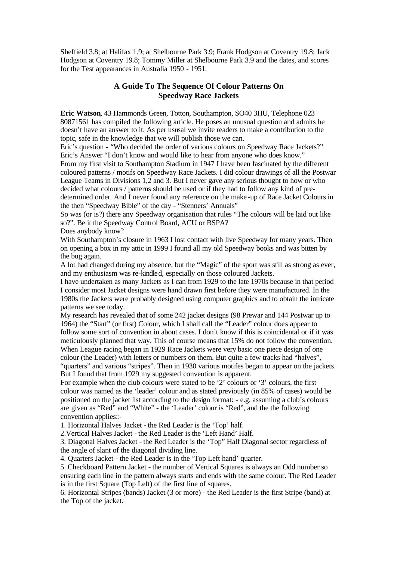Sheffield 3.8; at Halifax 1.9; at Shelbourne Park 3.9; Frank Hodgson at Coventry 19.8; Jack Hodgson at Coventry 19.8; Tommy Miller at Shelbourne Park 3.9 and the dates, and scores for the Test appearances in Australia 1950 - 1951.

# **A Guide To The Sequence Of Colour Patterns On Speedway Race Jackets**

**Eric Watson**, 43 Hammonds Green, Totton, Southampton, SO40 3HU, Telephone 023 80871561 has compiled the following article. He poses an unusual question and admits he doesn't have an answer to it. As per ususal we invite readers to make a contribution to the topic, safe in the knowledge that we will publish those we can.

Eric's question - "Who decided the order of various colours on Speedway Race Jackets?" Eric's Answer "I don't know and would like to hear from anyone who does know."

From my first visit to Southampton Stadium in 1947 I have been fascinated by the different coloured patterns / motifs on Speedway Race Jackets. I did colour drawings of all the Postwar League Teams in Divisions 1,2 and 3. But I never gave any serious thought to how or who decided what colours / patterns should be used or if they had to follow any kind of predetermined order. And I never found any reference on the make -up of Race Jacket Colours in the then "Speedway Bible" of the day - "Stenners' Annuals"

So was (or is?) there any Speedway organisation that rules "The colours will be laid out like so?". Be it the Speedway Control Board, ACU or BSPA?

Does anybody know?

With Southampton's closure in 1963 I lost contact with live Speedway for many years. Then on opening a box in my attic in 1999 I found all my old Speedway books and was bitten by the bug again.

A lot had changed during my absence, but the "Magic" of the sport was still as strong as ever, and my enthusiasm was re-kindled, especially on those coloured Jackets.

I have undertaken as many Jackets as I can from 1929 to the late 1970s because in that period I consider most Jacket designs were hand drawn first before they were manufactured. In the 1980s the Jackets were probably designed using computer graphics and to obtain the intricate patterns we see today.

My research has revealed that of some 242 jacket designs (98 Prewar and 144 Postwar up to 1964) the "Start" (or first) Colour, which I shall call the "Leader" colour does appear to follow some sort of convention in about cases. I don't know if this is coincidental or if it was meticulously planned that way. This of course means that 15% do not follow the convention. When League racing began in 1929 Race Jackets were very basic one piece design of one colour (the Leader) with letters or numbers on them. But quite a few tracks had "halves", "quarters" and various "stripes". Then in 1930 various motifes began to appear on the jackets. But I found that from 1929 my suggested convention is apparent.

For example when the club colours were stated to be '2' colours or '3' colours, the first colour was named as the 'leader' colour and as stated previously (in 85% of cases) would be positioned on the jacket 1st according to the design format: - e.g. assuming a club's colours are given as "Red" and "White" - the 'Leader' colour is "Red", and the the following convention applies::-

1. Horizontal Halves Jacket - the Red Leader is the 'Top' half.

2.Vertical Halves Jacket - the Red Leader is the 'Left Hand' Half.

3. Diagonal Halves Jacket - the Red Leader is the 'Top" Half Diagonal sector regardless of the angle of slant of the diagonal dividing line.

4. Quarters Jacket - the Red Leader is in the 'Top Left hand' quarter.

5. Checkboard Pattern Jacket - the number of Vertical Squares is always an Odd number so ensuring each line in the pattern always starts and ends with the same colour. The Red Leader is in the first Square (Top Left) of the first line of squares.

6. Horizontal Stripes (bands) Jacket (3 or more) - the Red Leader is the first Stripe (band) at the Top of the jacket.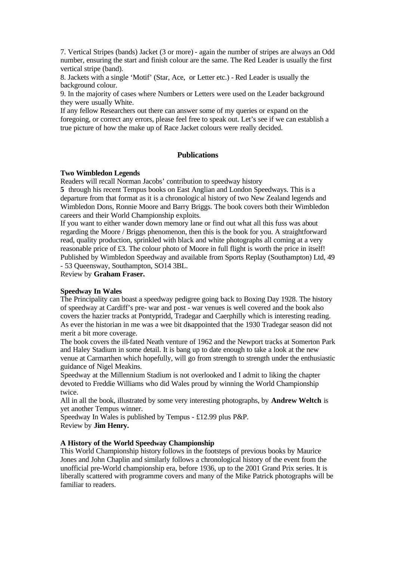7. Vertical Stripes (bands) Jacket (3 or more) - again the number of stripes are always an Odd number, ensuring the start and finish colour are the same. The Red Leader is usually the first vertical stripe (band).

8. Jackets with a single 'Motif' (Star, Ace, or Letter etc.) - Red Leader is usually the background colour.

9. In the majority of cases where Numbers or Letters were used on the Leader background they were usually White.

If any fellow Researchers out there can answer some of my queries or expand on the foregoing, or correct any errors, please feel free to speak out. Let's see if we can establish a true picture of how the make up of Race Jacket colours were really decided.

### **Publications**

### **Two Wimbledon Legends**

Readers will recall Norman Jacobs' contribution to speedway history

**5** through his recent Tempus books on East Anglian and London Speedways. This is a departure from that format as it is a chronologic al history of two New Zealand legends and Wimbledon Dons, Ronnie Moore and Barry Briggs. The book covers both their Wimbledon careers and their World Championship exploits.

If you want to either wander down memory lane or find out what all this fuss was about regarding the Moore / Briggs phenomenon, then this is the book for you. A straightforward read, quality production, sprinkled with black and white photographs all coming at a very reasonable price of £3. The colour photo of Moore in full flight is worth the price in itself! Published by Wimbledon Speedway and available from Sports Replay (Southampton) Ltd, 49 - 53 Queensway, Southampton, SO14 3BL.

Review by **Graham Fraser.**

#### **Speedway In Wales**

The Principality can boast a speedway pedigree going back to Boxing Day 1928. The history of speedway at Cardiff's pre- war and post - war venues is well covered and the book also covers the hazier tracks at Pontypridd, Tradegar and Caerphilly which is interesting reading. As ever the historian in me was a wee bit disappointed that the 1930 Tradegar season did not merit a bit more coverage.

The book covers the ill-fated Neath venture of 1962 and the Newport tracks at Somerton Park and Haley Stadium in some detail. It is bang up to date enough to take a look at the new venue at Carmarthen which hopefully, will go from strength to strength under the enthusiastic guidance of Nigel Meakins.

Speedway at the Millennium Stadium is not overlooked and I admit to liking the chapter devoted to Freddie Williams who did Wales proud by winning the World Championship twice.

All in all the book, illustrated by some very interesting photographs, by **Andrew Weltch** is yet another Tempus winner.

Speedway In Wales is published by Tempus - £12.99 plus P&P. Review by **Jim Henry.**

### **A History of the World Speedway Championship**

This World Championship history follows in the footsteps of previous books by Maurice Jones and John Chaplin and similarly follows a chronological history of the event from the unofficial pre-World championship era, before 1936, up to the 2001 Grand Prix series. It is liberally scattered with programme covers and many of the Mike Patrick photographs will be familiar to readers.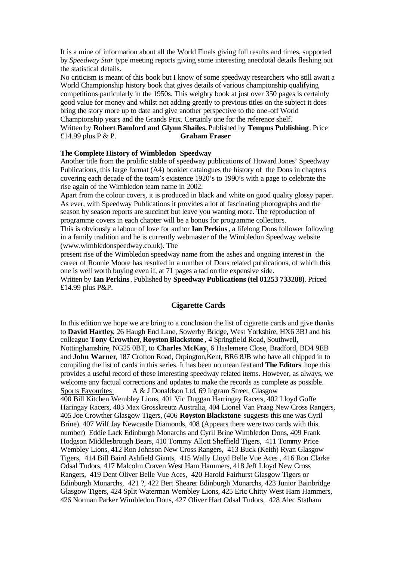It is a mine of information about all the World Finals giving full results and times, supported by *Speedway Star* type meeting reports giving some interesting anecdotal details fleshing out the statistical details.

No criticism is meant of this book but I know of some speedway researchers who still await a World Championship history book that gives details of various championship qualifying competitions particularly in the 1950s. This weighty book at just over 350 pages is certainly good value for money and whilst not adding greatly to previous titles on the subject it does bring the story more up to date and give another perspective to the one-off World Championship years and the Grands Prix. Certainly one for the reference shelf.

# Written by **Robert Bamford and Glynn Shailes.** Published by **Tempus Publishing**. Price £14.99 plus P & P. **Graham Fraser**

### **The Complete History of Wimbledon Speedway**

Another title from the prolific stable of speedway publications of Howard Jones' Speedway Publications, this large format (A4) booklet catalogues the history of the Dons in chapters covering each decade of the team's existence 1920's to 1990's with a page to celebrate the rise again of the Wimbledon team name in 2002.

Apart from the colour covers, it is produced in black and white on good quality glossy paper. As ever, with Speedway Publications it provides a lot of fascinating photographs and the season by season reports are succinct but leave you wanting more. The reproduction of programme covers in each chapter will be a bonus for programme collectors.

This is obviously a labour of love for author **Ian Perkins**, a lifelong Dons follower following in a family tradition and he is currently webmaster of the Wimbledon Speedway website (www.wimbledonspeedway.co.uk). The

present rise of the Wimbledon speedway name from the ashes and ongoing interest in the career of Ronnie Moore has resulted in a number of Dons related publications, of which this one is well worth buying even if, at 71 pages a tad on the expensive side.

Written by **Ian Perkins**. Published by **Speedway Publications (tel 01253 733288)**. Priced £14.99 plus P&P.

### **Cigarette Cards**

In this edition we hope we are bring to a conclusion the list of cigarette cards and give thanks to **David Hartley**, 26 Haugh End Lane, Sowerby Bridge, West Yorkshire, HX6 3BJ and his colleague **Tony Crowther**, **Royston Blackstone** , 4 Springfield Road, Southwell, Nottinghamshire, NG25 0BT, to **Charles McKay**, 6 Haslemere Close, Bradford, BD4 9EB and **John Warner**, 187 Crofton Road, Orpington,Kent, BR6 8JB who have all chipped in to compiling the list of cards in this series. It has been no mean feat and **The Editors** hope this provides a useful record of these interesting speedway related items. However, as always, we welcome any factual corrections and updates to make the records as complete as possible. Sports Favourites A & J Donaldson Ltd, 69 Ingram Street, Glasgow 400 Bill Kitchen Wembley Lions, 401 Vic Duggan Harringay Racers, 402 Lloyd Goffe Haringay Racers, 403 Max Grosskreutz Australia, 404 Lionel Van Praag New Cross Rangers, 405 Joe Crowther Glasgow Tigers, (406 **Royston Blackstone** suggests this one was Cyril Brine). 407 Wilf Jay Newcastle Diamonds, 408 (Appears there were two cards with this number) Eddie Lack Edinburgh Monarchs and Cyril Brine Wimbledon Dons, 409 Frank Hodgson Middlesbrough Bears, 410 Tommy Allott Sheffield Tigers, 411 Tommy Price Wembley Lions, 412 Ron Johnson New Cross Rangers, 413 Buck (Keith) Ryan Glasgow Tigers, 414 Bill Baird Ashfield Giants, 415 Wally Lloyd Belle Vue Aces , 416 Ron Clarke Odsal Tudors, 417 Malcolm Craven West Ham Hammers, 418 Jeff Lloyd New Cross Rangers, 419 Dent Oliver Belle Vue Aces, 420 Harold Fairhurst Glasgow Tigers or Edinburgh Monarchs, 421 ?, 422 Bert Shearer Edinburgh Monarchs, 423 Junior Bainbridge Glasgow Tigers, 424 Split Waterman Wembley Lions, 425 Eric Chitty West Ham Hammers, 426 Norman Parker Wimbledon Dons, 427 Oliver Hart Odsal Tudors, 428 Alec Statham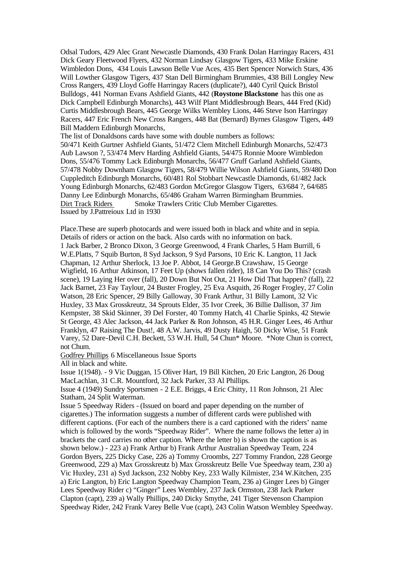Odsal Tudors, 429 Alec Grant Newcastle Diamonds, 430 Frank Dolan Harringay Racers, 431 Dick Geary Fleetwood Flyers, 432 Norman Lindsay Glasgow Tigers, 433 Mike Erskine Wimbledon Dons, 434 Louis Lawson Belle Vue Aces, 435 Bert Spencer Norwich Stars, 436 Will Lowther Glasgow Tigers, 437 Stan Dell Birmingham Brummies, 438 Bill Longley New Cross Rangers, 439 Lloyd Goffe Harringay Racers (duplicate?), 440 Cyril Quick Bristol Bulldogs, 441 Norman Evans Ashfield Giants, 442 (**Roystone Blackstone** has this one as Dick Campbell Edinburgh Monarchs), 443 Wilf Plant Middlesbrough Bears, 444 Fred (Kid) Curtis Middlesbrough Bears, 445 George Wilks Wembley Lions, 446 Steve Ison Harringay Racers, 447 Eric French New Cross Rangers, 448 Bat (Bernard) Byrnes Glasgow Tigers, 449 Bill Maddern Edinburgh Monarchs,

The list of Donaldsons cards have some with double numbers as follows: 50/471 Keith Gurtner Ashfield Giants, 51/472 Clem Mitchell Edinburgh Monarchs, 52/473 Aub Lawson ?, 53/474 Merv Harding Ashfield Giants, 54/475 Ronnie Moore Wimbledon Dons, 55/476 Tommy Lack Edinburgh Monarchs, 56/477 Gruff Garland Ashfield Giants, 57/478 Nobby Downham Glasgow Tigers, 58/479 Willie Wilson Ashfield Giants, 59/480 Don Cuppleditch Edinburgh Monarchs, 60/481 Rol Stobbart Newcastle Diamonds, 61/482 Jack Young Edinburgh Monarchs, 62/483 Gordon McGregor Glasgow Tigers, 63/684 ?, 64/685 Danny Lee Edinburgh Monarchs, 65/486 Graham Warren Birmingham Brummies. Dirt Track Riders Smoke Trawlers Critic Club Member Cigarettes. Issued by J.Pattreioux Ltd in 1930

Place.These are superb photocards and were issued both in black and white and in sepia. Details of riders or action on the back. Also cards with no information on back. 1 Jack Barber, 2 Bronco Dixon, 3 George Greenwood, 4 Frank Charles, 5 Ham Burrill, 6 W.E.Platts, 7 Squib Burton, 8 Syd Jackson, 9 Syd Parsons, 10 Eric K. Langton, 11 Jack Chapman, 12 Arthur Sherlock, 13 Joe P. Abbot, 14 George.B Crawshaw, 15 George Wigfield, 16 Arthur Atkinson, 17 Feet Up (shows fallen rider), 18 Can You Do This? (crash scene), 19 Laying Her over (fall), 20 Down But Not Out, 21 How Did That happen? (fall), 22 Jack Barnet, 23 Fay Taylour, 24 Buster Frogley, 25 Eva Asquith, 26 Roger Frogley, 27 Colin Watson, 28 Eric Spencer, 29 Billy Galloway, 30 Frank Arthur, 31 Billy Lamont, 32 Vic Huxley, 33 Max Grosskreutz, 34 Sprouts Elder, 35 Ivor Creek, 36 Billie Dallison, 37 Jim Kempster, 38 Skid Skinner, 39 Del Forster, 40 Tommy Hatch, 41 Charlie Spinks, 42 Stewie St George, 43 Alec Jackson, 44 Jack Parker & Ron Johnson, 45 H.R. Ginger Lees, 46 Arthur Franklyn, 47 Raising The Dust!, 48 A.W. Jarvis, 49 Dusty Haigh, 50 Dicky Wise, 51 Frank Varey, 52 Dare-Devil C.H. Beckett, 53 W.H. Hull, 54 Chun\* Moore. \*Note Chun is correct, not Chum.

Godfrey Phillips 6 Miscellaneous Issue Sports

All in black and white.

Issue 1(1948). - 9 Vic Duggan, 15 Oliver Hart, 19 Bill Kitchen, 20 Eric Langton, 26 Doug MacLachlan, 31 C.R. Mountford, 32 Jack Parker, 33 Al Phillips.

Issue 4 (1949) Sundry Sportsmen - 2 E.E. Briggs, 4 Eric Chitty, 11 Ron Johnson, 21 Alec Statham, 24 Split Waterman.

Issue 5 Speedway Riders - (Issued on board and paper depending on the number of cigarettes.) The information suggests a number of different cards were published with different captions. (For each of the numbers there is a card captioned with the riders' name which is followed by the words "Speedway Rider". Where the name follows the letter a) in brackets the card carries no other caption. Where the letter b) is shown the caption is as shown below.) - 223 a) Frank Arthur b) Frank Arthur Australian Speedway Team, 224 Gordon Byers, 225 Dicky Case, 226 a) Tommy Croombs, 227 Tommy Frandon, 228 George Greenwood, 229 a) Max Grosskreutz b) Max Grosskreutz Belle Vue Speedway team, 230 a) Vic Huxley, 231 a) Syd Jackson, 232 Nobby Key, 233 Wally Kilmister, 234 W.Kitchen, 235 a) Eric Langton, b) Eric Langton Speedway Champion Team, 236 a) Ginger Lees b) Ginger Lees Speedway Rider c) "Ginger" Lees Wembley, 237 Jack Ormston, 238 Jack Parker Clapton (capt), 239 a) Wally Phillips, 240 Dicky Smythe, 241 Tiger Stevenson Champion Speedway Rider, 242 Frank Varey Belle Vue (capt), 243 Colin Watson Wembley Speedway.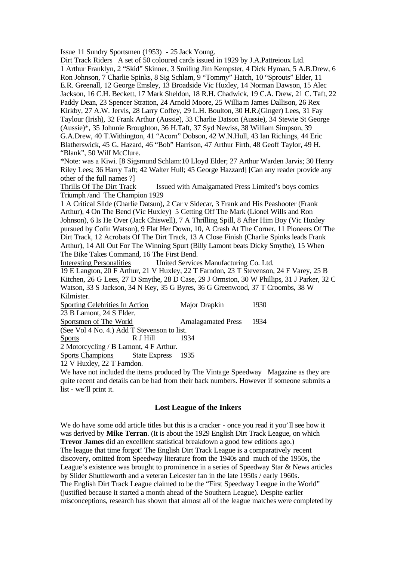Issue 11 Sundry Sportsmen (1953) - 25 Jack Young.

Dirt Track Riders A set of 50 coloured cards issued in 1929 by J.A.Pattreioux Ltd. 1 Arthur Franklyn, 2 "Skid" Skinner, 3 Smiling Jim Kempster, 4 Dick Hyman, 5 A.B.Drew, 6 Ron Johnson, 7 Charlie Spinks, 8 Sig Schlam, 9 "Tommy" Hatch, 10 "Sprouts" Elder, 11 E.R. Greenall, 12 George Emsley, 13 Broadside Vic Huxley, 14 Norman Dawson, 15 Alec Jackson, 16 C.H. Beckett, 17 Mark Sheldon, 18 R.H. Chadwick, 19 C.A. Drew, 21 C. Taft, 22 Paddy Dean, 23 Spencer Stratton, 24 Arnold Moore, 25 William James Dallison, 26 Rex Kirkby, 27 A.W. Jervis, 28 Larry Coffey, 29 L.H. Boulton, 30 H.R.(Ginger) Lees, 31 Fay Taylour (Irish), 32 Frank Arthur (Aussie), 33 Charlie Datson (Aussie), 34 Stewie St George (Aussie)\*, 35 Johnnie Broughton, 36 H.Taft, 37 Syd Newiss, 38 William Simpson, 39 G.A.Drew, 40 T.Withington, 41 "Acorn" Dobson, 42 W.N.Hull, 43 Ian Richings, 44 Eric Blatherswick, 45 G. Hazard, 46 "Bob" Harrison, 47 Arthur Firth, 48 Geoff Taylor, 49 H. "Blank", 50 Wilf McClure. \*Note: was a Kiwi. [8 Sigsmund Schlam:10 Lloyd Elder; 27 Arthur Warden Jarvis; 30 Henry Riley Lees; 36 Harry Taft; 42 Walter Hull; 45 George Hazzard] [Can any reader provide any other of the full names ?] Thrills Of The Dirt Track Issued with Amalgamated Press Limited's boys comics Triumph /and The Champion 1929 1 A Critical Slide (Charlie Datsun), 2 Car v Sidecar, 3 Frank and His Peashooter (Frank Arthur), 4 On The Bend (Vic Huxley) 5 Getting Off The Mark (Lionel Wills and Ron

Johnson), 6 Is He Over (Jack Chiswell), 7 A Thrilling Spill, 8 After Him Boy (Vic Huxley pursued by Colin Watson), 9 Flat Her Down, 10, A Crash At The Corner, 11 Pioneers Of The Dirt Track, 12 Acrobats Of The Dirt Track, 13 A Close Finish (Charlie Spinks leads Frank Arthur), 14 All Out For The Winning Spurt (Billy Lamont beats Dicky Smythe), 15 When The Bike Takes Command, 16 The First Bend.

Interesting Personalities United Services Manufacturing Co. Ltd.

19 E Langton, 20 F Arthur, 21 V Huxley, 22 T Farndon, 23 T Stevenson, 24 F Varey, 25 B Kitchen, 26 G Lees, 27 D Smythe, 28 D Case, 29 J Ormston, 30 W Phillips, 31 J Parker, 32 C Watson, 33 S Jackson, 34 N Key, 35 G Byres, 36 G Greenwood, 37 T Croombs, 38 W Kilmister.

| Sporting Celebrities In Action              | Major Drapkin             | 1930   |  |  |
|---------------------------------------------|---------------------------|--------|--|--|
| 23 B Lamont, 24 S Elder.                    |                           |        |  |  |
| Sportsmen of The World                      | <b>Amalagamated Press</b> | - 1934 |  |  |
| (See Vol 4 No. 4.) Add T Stevenson to list. |                           |        |  |  |
| R J Hill<br><b>Sports</b>                   | 1934                      |        |  |  |
| 2 Motorcycling / B Lamont, 4 F Arthur.      |                           |        |  |  |

Sports Champions State Express 1935

12 V Huxley, 22 T Farndon.

We have not included the items produced by The Vintage Speedway Magazine as they are quite recent and details can be had from their back numbers. However if someone submits a list - we'll print it.

### **Lost League of the Inkers**

We do have some odd article titles but this is a cracker - once you read it you'll see how it was derived by **Mike Terran**. (It is about the 1929 English Dirt Track League, on which **Trevor James** did an excelllent statistical breakdown a good few editions ago.) The league that time forgot! The English Dirt Track League is a comparatively recent discovery, omitted from Speedway literature from the 1940s and much of the 1950s, the League's existence was brought to prominence in a series of Speedway Star & News articles by Slider Shuttleworth and a veteran Leicester fan in the late 1950s / early 1960s. The English Dirt Track League claimed to be the "First Speedway League in the World" (justified because it started a month ahead of the Southern League). Despite earlier misconceptions, research has shown that almost all of the league matches were completed by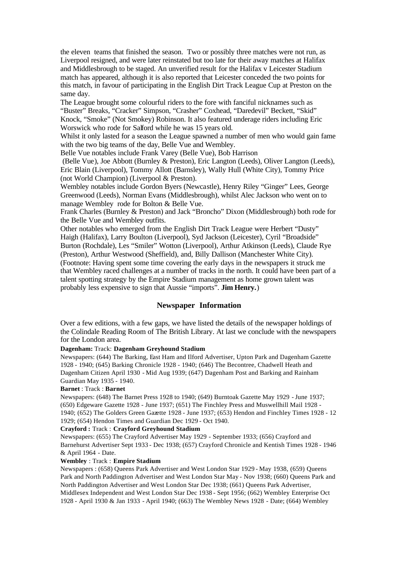the eleven teams that finished the season. Two or possibly three matches were not run, as Liverpool resigned, and were later reinstated but too late for their away matches at Halifax and Middlesbrough to be staged. An unverified result for the Halifax v Leicester Stadium match has appeared, although it is also reported that Leicester conceded the two points for this match, in favour of participating in the English Dirt Track League Cup at Preston on the same day.

The League brought some colourful riders to the fore with fanciful nicknames such as "Buster" Breaks, "Cracker" Simpson, "Crasher" Coxhead, "Daredevil" Beckett, "Skid" Knock, "Smoke" (Not Smokey) Robinson. It also featured underage riders including Eric Worswick who rode for Salford while he was 15 years old.

Whilst it only lasted for a season the League spawned a number of men who would gain fame with the two big teams of the day, Belle Vue and Wembley.

Belle Vue notables include Frank Varey (Belle Vue), Bob Harrison

(Belle Vue), Joe Abbott (Burnley & Preston), Eric Langton (Leeds), Oliver Langton (Leeds), Eric Blain (Liverpool), Tommy Allott (Barnsley), Wally Hull (White City), Tommy Price (not World Champion) (Liverpool & Preston).

Wembley notables include Gordon Byers (Newcastle), Henry Riley "Ginger" Lees, George Greenwood (Leeds), Norman Evans (Middlesbrough), whilst Alec Jackson who went on to manage Wembley rode for Bolton & Belle Vue.

Frank Charles (Burnley & Preston) and Jack "Broncho" Dixon (Middlesbrough) both rode for the Belle Vue and Wembley outfits.

Other notables who emerged from the English Dirt Track League were Herbert "Dusty" Haigh (Halifax), Larry Boulton (Liverpool), Syd Jackson (Leicester), Cyril "Broadside" Burton (Rochdale), Les "Smiler" Wotton (Liverpool), Arthur Atkinson (Leeds), Claude Rye (Preston), Arthur Westwood (Sheffield), and, Billy Dallison (Manchester White City). (Footnote: Having spent some time covering the early days in the newspapers it struck me that Wembley raced challenges at a number of tracks in the north. It could have been part of a talent spotting strategy by the Empire Stadium management as home grown talent was probably less expensive to sign that Aussie "imports". **Jim Henry.**)

# **Newspaper Information**

Over a few editions, with a few gaps, we have listed the details of the newspaper holdings of the Colindale Reading Room of The British Library. At last we conclude with the newspapers for the London area.

### **Dagenham:** Track: **Dagenham Greyhound Stadium**

Newspapers: (644) The Barking, East Ham and Ilford Advertiser, Upton Park and Dagenham Gazette 1928 - 1940; (645) Barking Chronicle 1928 - 1940; (646) The Becontree, Chadwell Heath and Dagenham Citizen April 1930 - Mid Aug 1939; (647) Dagenham Post and Barking and Rainham Guardian May 1935 - 1940.

#### **Barnet** : Track : **Barnet**

Newspapers: (648) The Barnet Press 1928 to 1940; (649) Burntoak Gazette May 1929 - June 1937; (650) Edgeware Gazette 1928 - June 1937; (651) The Finchley Press and Muswellhill Mail 1928 - 1940; (652) The Golders Green Gazette 1928 - June 1937; (653) Hendon and Finchley Times 1928 - 12 1929; (654) Hendon Times and Guardian Dec 1929 - Oct 1940.

#### **Crayford :** Track : **Crayford Greyhound Stadium**

Newspapers: (655) The Crayford Advertiser May 1929 - September 1933; (656) Crayford and Barnehurst Advertiser Sept 1933 - Dec 1938; (657) Crayford Chronicle and Kentish Times 1928 - 1946 & April 1964 - Date.

### **Wembley** : Track : **Empire Stadium**

Newspapers : (658) Queens Park Advertiser and West London Star 1929 - May 1938, (659) Queens Park and North Paddington Advertiser and West London Star May - Nov 1938; (660) Queens Park and North Paddington Advertiser and West London Star Dec 1938; (661) Queens Park Advertiser, Middlesex Independent and West London Star Dec 1938 - Sept 1956; (662) Wembley Enterprise Oct 1928 - April 1930 & Jan 1933 - April 1940; (663) The Wembley News 1928 - Date; (664) Wembley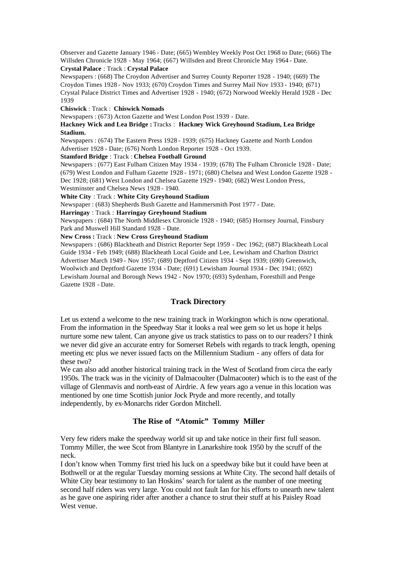Observer and Gazette January 1946 - Date; (665) Wembley Weekly Post Oct 1968 to Date; (666) The Willsden Chronicle 1928 - May 1964; (667) Willsden and Brent Chronicle May 1964 - Date. **Crystal Palace** : Track : **Crystal Palace** 

Newspapers : (668) The Croydon Advertiser and Surrey County Reporter 1928 - 1940; (669) The Croydon Times 1928 - Nov 1933; (670) Croydon Times and Surrey Mail Nov 1933 - 1940; (671) Crystal Palace District Times and Advertiser 1928 - 1940; (672) Norwood Weekly Herald 1928 - Dec 1939

**Chiswick** : Track : **Chiswick Nomads**

Newspapers : (673) Acton Gazette and West London Post 1939 - Date.

### **Hackney Wick and Lea Bridge :** Tracks : **Hackney Wick Greyhound Stadium, Lea Bridge Stadium.**

Newspapers : (674) The Eastern Press 1928 - 1939; (675) Hackney Gazette and North London Advertiser 1928 - Date; (676) North London Reporter 1928 - Oct 1939.

### **Stamford Bridge** : Track : **Chelsea Football Ground**

Newspapers : (677) East Fulham Citizen May 1934 - 1939; (678) The Fulham Chronicle 1928 - Date; (679) West London and Fulham Gazette 1928 - 1971; (680) Chelsea and West London Gazette 1928 - Dec 1928; (681) West London and Chelsea Gazette 1929 - 1940; (682) West London Press,

Westminster and Chelsea News 1928 - 1940.

# **White City** : Track : **White City Greyhound Stadium**

Newspaper : (683) Shepherds Bush Gazette and Hammersmith Post 1977 - Date.

**Harringay** : Track : **Harringay Greyhound Stadium**

Newspapers : (684) The North Middlesex Chronicle 1928 - 1940; (685) Hornsey Journal, Finsbury Park and Muswell Hill Standard 1928 - Date.

**New Cross :** Track : **New Cross Greyhound Stadium**

Newspapers : (686) Blackheath and District Reporter Sept 1959 - Dec 1962; (687) Blackheath Local Guide 1934 - Feb 1949; (688) Blackheath Local Guide and Lee, Lewisham and Charlton District Advertiser March 1949 - Nov 1957; (689) Deptford Citizen 1934 - Sept 1939; (690) Greenwich, Woolwich and Deptford Gazette 1934 - Date; (691) Lewisham Journal 1934 - Dec 1941; (692) Lewisham Journal and Borough News 1942 - Nov 1970; (693) Sydenham, Foresthill and Penge Gazette 1928 - Date.

### **Track Directory**

Let us extend a welcome to the new training track in Workington which is now operational. From the information in the Speedway Star it looks a real wee gem so let us hope it helps nurture some new talent. Can anyone give us track statistics to pass on to our readers? I think we never did give an accurate entry for Somerset Rebels with regards to track length, opening meeting etc plus we never issued facts on the Millennium Stadium - any offers of data for these two?

We can also add another historical training track in the West of Scotland from circa the early 1950s. The track was in the vicinity of Dalmacoulter (Dalmacooter) which is to the east of the village of Glenmavis and north-east of Airdrie. A few years ago a venue in this location was mentioned by one time Scottish junior Jock Pryde and more recently, and totally independently, by ex-Monarchs rider Gordon Mitchell.

# **The Rise of "Atomic" Tommy Miller**

Very few riders make the speedway world sit up and take notice in their first full season. Tommy Miller, the wee Scot from Blantyre in Lanarkshire took 1950 by the scruff of the neck.

I don't know when Tommy first tried his luck on a speedway bike but it could have been at Bothwell or at the regular Tuesday morning sessions at White City. The second half details of White City bear testimony to Ian Hoskins' search for talent as the number of one meeting second half riders was very large. You could not fault Ian for his efforts to unearth new talent as he gave one aspiring rider after another a chance to strut their stuff at his Paisley Road West venue.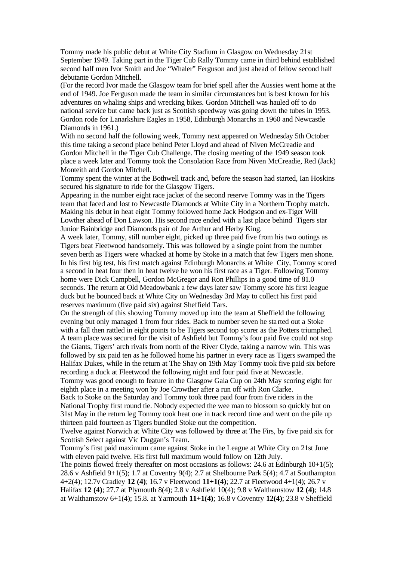Tommy made his public debut at White City Stadium in Glasgow on Wednesday 21st September 1949. Taking part in the Tiger Cub Rally Tommy came in third behind established second half men Ivor Smith and Joe "Whaler" Ferguson and just ahead of fellow second half debutante Gordon Mitchell.

(For the record Ivor made the Glasgow team for brief spell after the Aussies went home at the end of 1949. Joe Ferguson made the team in similar circumstances but is best known for his adventures on whaling ships and wrecking bikes. Gordon Mitchell was hauled off to do national service but came back just as Scottish speedway was going down the tubes in 1953. Gordon rode for Lanarkshire Eagles in 1958, Edinburgh Monarchs in 1960 and Newcastle Diamonds in 1961.)

With no second half the following week, Tommy next appeared on Wednesday 5th October this time taking a second place behind Peter Lloyd and ahead of Niven McCreadie and Gordon Mitchell in the Tiger Cub Challenge. The closing meeting of the 1949 season took place a week later and Tommy took the Consolation Race from Niven McCreadie, Red (Jack) Monteith and Gordon Mitchell.

Tommy spent the winter at the Bothwell track and, before the season had started, Ian Hoskins secured his signature to ride for the Glasgow Tigers.

Appearing in the number eight race jacket of the second reserve Tommy was in the Tigers team that faced and lost to Newcastle Diamonds at White City in a Northern Trophy match. Making his debut in heat eight Tommy followed home Jack Hodgson and ex-Tiger Will Lowther ahead of Don Lawson. His second race ended with a last place behind Tigers star Junior Bainbridge and Diamonds pair of Joe Arthur and Herby King.

A week later, Tommy, still number eight, picked up three paid five from his two outings as Tigers beat Fleetwood handsomely. This was followed by a single point from the number seven berth as Tigers were whacked at home by Stoke in a match that few Tigers men shone. In his first big test, his first match against Edinburgh Monarchs at White City, Tommy scored a second in heat four then in heat twelve he won his first race as a Tiger. Following Tommy home were Dick Campbell, Gordon McGregor and Ron Phillips in a good time of 81.0 seconds. The return at Old Meadowbank a few days later saw Tommy score his first league duck but he bounced back at White City on Wednesday 3rd May to collect his first paid reserves maximum (five paid six) against Sheffield Tars.

On the strength of this showing Tommy moved up into the team at Sheffield the following evening but only managed 1 from four rides. Back to number seven he sta rted out a Stoke with a fall then rattled in eight points to be Tigers second top scorer as the Potters triumphed. A team place was secured for the visit of Ashfield but Tommy's four paid five could not stop the Giants, Tigers' arch rivals from north of the River Clyde, taking a narrow win. This was followed by six paid ten as he followed home his partner in every race as Tigers swamped the Halifax Dukes, while in the return at The Shay on 19th May Tommy took five paid six before recording a duck at Fleetwood the following night and four paid five at Newcastle.

Tommy was good enough to feature in the Glasgow Gala Cup on 24th May scoring eight for eighth place in a meeting won by Joe Crowther after a run off with Ron Clarke.

Back to Stoke on the Saturday and Tommy took three paid four from five riders in the National Trophy first round tie. Nobody expected the wee man to blossom so quickly but on 31st May in the return leg Tommy took heat one in track record time and went on the pile up thirteen paid fourteen as Tigers bundled Stoke out the competition.

Twelve against Norwich at White City was followed by three at The Firs, by five paid six for Scottish Select against Vic Duggan's Team.

Tommy's first paid maximum came against Stoke in the League at White City on 21st June with eleven paid twelve. His first full maximum would follow on 12th July.

The points flowed freely thereafter on most occasions as follows: 24.6 at Edinburgh  $10+1(5)$ ; 28.6 v Ashfield 9+1(5); 1.7 at Coventry 9(4); 2.7 at Shelbourne Park 5(4); 4.7 at Southampton 4+2(4); 12.7v Cradley **12 (4)**; 16.7 v Fleetwood **11+1(4)**; 22.7 at Fleetwood 4+1(4); 26.7 v Halifax **12 (4)**; 27.7 at Plymouth 8(4); 2.8 v Ashfield 10(4); 9.8 v Walthamstow **12 (4)**; 14.8 at Walthamstow 6+1(4); 15.8. at Yarmouth **11+1(4)**; 16.8 v Coventry **12(4)**; 23.8 v Sheffield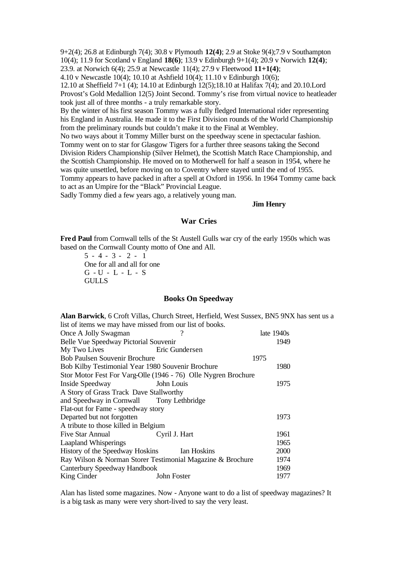9+2(4); 26.8 at Edinburgh 7(4); 30.8 v Plymouth **12(4)**; 2.9 at Stoke 9(4);7.9 v Southampton 10(4); 11.9 for Scotland v England **18(6)**; 13.9 v Edinburgh 9+1(4); 20.9 v Norwich **12(4)**; 23.9. at Norwich 6(4); 25.9 at Newcastle 11(4); 27.9 v Fleetwood **11+1(4)**; 4.10 v Newcastle 10(4); 10.10 at Ashfield 10(4); 11.10 v Edinburgh 10(6); 12.10 at Sheffield 7+1 (4); 14.10 at Edinburgh 12(5);18.10 at Halifax 7(4); and 20.10.Lord Provost's Gold Medallion 12(5) Joint Second. Tommy's rise from virtual novice to heatleader took just all of three months - a truly remarkable story.

By the winter of his first season Tommy was a fully fledged International rider representing his England in Australia. He made it to the First Division rounds of the World Championship from the preliminary rounds but couldn't make it to the Final at Wembley.

No two ways about it Tommy Miller burst on the speedway scene in spectacular fashion. Tommy went on to star for Glasgow Tigers for a further three seasons taking the Second Division Riders Championship (Silver Helmet), the Scottish Match Race Championship, and the Scottish Championship. He moved on to Motherwell for half a season in 1954, where he was quite unsettled, before moving on to Coventry where stayed until the end of 1955. Tommy appears to have packed in after a spell at Oxford in 1956. In 1964 Tommy came back to act as an Umpire for the "Black" Provincial League.

Sadly Tommy died a few years ago, a relatively young man.

#### **Jim Henry**

### **War Cries**

**Fred Paul** from Cornwall tells of the St Austell Gulls war cry of the early 1950s which was based on the Cornwall County motto of One and All.

 $5 - 4 - 3 - 2 - 1$ One for all and all for one G - U - L - L - S **GULLS** 

### **Books On Speedway**

**Alan Barwick**, 6 Croft Villas, Church Street, Herfield, West Sussex, BN5 9NX has sent us a list of items we may have missed from our list of books. Once A Jolly Swagman ? late 1940s Belle Vue Speedway Pictorial Souvenir 1949 My Two Lives Eric Gundersen Bob Paulsen Souvenir Brochure 1975 Bob Kilby Testimonial Year 1980 Souvenir Brochure 1980 Stor Motor Fest For Varg-Olle (1946 - 76) Olle Nygren Brochure Inside Speedway John Louis 1975 A Story of Grass Track Dave Stallworthy and Speedway in Cornwall Tony Lethbridge Flat-out for Fame - speedway story Departed but not forgotten 1973 A tribute to those killed in Belgium Five Star Annual Cyril J. Hart 1961 Laapland Whisperings 1965 History of the Speedway Hoskins Ian Hoskins 2000 Ray Wilson & Norman Storer Testimonial Magazine & Brochure 1974 Canterbury Speedway Handbook 1969 King Cinder John Foster 1977

Alan has listed some magazines. Now - Anyone want to do a list of speedway magazines? It is a big task as many were very short-lived to say the very least.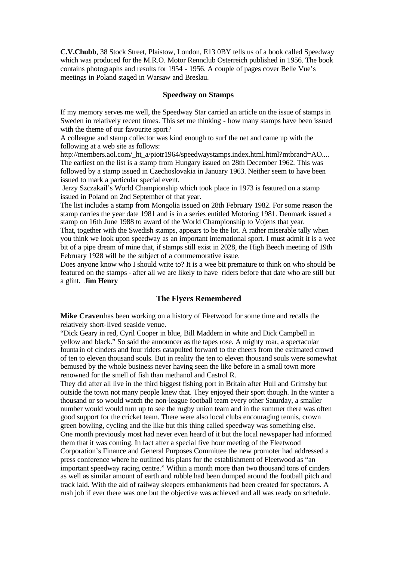**C.V.Chubb**, 38 Stock Street, Plaistow, London, E13 0BY tells us of a book called Speedway which was produced for the M.R.O. Motor Rennclub Osterreich published in 1956. The book contains photographs and results for 1954 - 1956. A couple of pages cover Belle Vue's meetings in Poland staged in Warsaw and Breslau.

### **Speedway on Stamps**

If my memory serves me well, the Speedway Star carried an article on the issue of stamps in Sweden in relatively recent times. This set me thinking - how many stamps have been issued with the theme of our favourite sport?

A colleague and stamp collector was kind enough to surf the net and came up with the following at a web site as follows:

http://members.aol.com/\_ht\_a/piotr1964/speedwaystamps.index.html.html?mtbrand=AO.... The earliest on the list is a stamp from Hungary issued on 28th December 1962. This was followed by a stamp issued in Czechoslovakia in January 1963. Neither seem to have been issued to mark a particular special event.

Jerzy Szczakail's World Championship which took place in 1973 is featured on a stamp issued in Poland on 2nd September of that year.

The list includes a stamp from Mongolia issued on 28th February 1982. For some reason the stamp carries the year date 1981 and is in a series entitled Motoring 1981. Denmark issued a stamp on 16th June 1988 to award of the World Championship to Vojens that year.

That, together with the Swedish stamps, appears to be the lot. A rather miserable tally when you think we look upon speedway as an important international sport. I must admit it is a wee bit of a pipe dream of mine that, if stamps still exist in 2028, the High Beech meeting of 19th February 1928 will be the subject of a commemorative issue.

Does anyone know who I should write to? It is a wee bit premature to think on who should be featured on the stamps - after all we are likely to have riders before that date who are still but a glint. **Jim Henry**

### **The Flyers Remembered**

**Mike Craven** has been working on a history of Fleetwood for some time and recalls the relatively short-lived seaside venue.

"Dick Geary in red, Cyril Cooper in blue, Bill Maddern in white and Dick Campbell in yellow and black." So said the announcer as the tapes rose. A mighty roar, a spectacular fountain of cinders and four riders catapulted forward to the cheers from the estimated crowd of ten to eleven thousand souls. But in reality the ten to eleven thousand souls were somewhat bemused by the whole business never having seen the like before in a small town more renowned for the smell of fish than methanol and Castrol R.

They did after all live in the third biggest fishing port in Britain after Hull and Grimsby but outside the town not many people knew that. They enjoyed their sport though. In the winter a thousand or so would watch the non-league football team every other Saturday, a smaller number would would turn up to see the rugby union team and in the summer there was often good support for the cricket team. There were also local clubs encouraging tennis, crown green bowling, cycling and the like but this thing called speedway was something else. One month previously most had never even heard of it but the local newspaper had informed them that it was coming. In fact after a special five hour meeting of the Fleetwood Corporation's Finance and General Purposes Committee the new promoter had addressed a press conference where he outlined his plans for the establishment of Fleetwood as "an important speedway racing centre." Within a month more than two thousand tons of cinders as well as similar amount of earth and rubble had been dumped around the football pitch and track laid. With the aid of railway sleepers embankments had been created for spectators. A rush job if ever there was one but the objective was achieved and all was ready on schedule.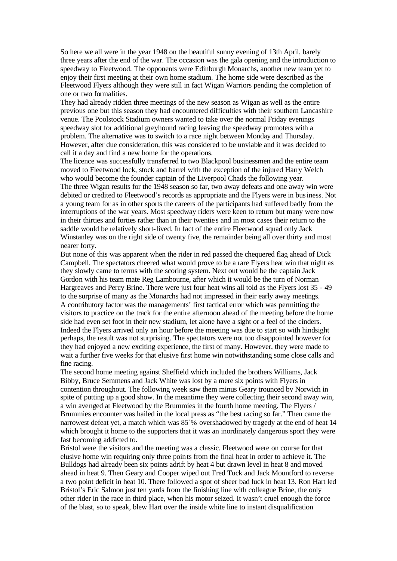So here we all were in the year 1948 on the beautiful sunny evening of 13th April, barely three years after the end of the war. The occasion was the gala opening and the introduction to speedway to Fleetwood. The opponents were Edinburgh Monarchs, another new team yet to enjoy their first meeting at their own home stadium. The home side were described as the Fleetwood Flyers although they were still in fact Wigan Warriors pending the completion of one or two formalities.

They had already ridden three meetings of the new season as Wigan as well as the entire previous one but this season they had encountered difficulties with their southern Lancashire venue. The Poolstock Stadium owners wanted to take over the normal Friday evenings speedway slot for additional greyhound racing leaving the speedway promoters with a problem. The alternative was to switch to a race night between Monday and Thursday. However, after due consideration, this was considered to be unviable and it was decided to call it a day and find a new home for the operations.

The licence was successfully transferred to two Blackpool businessmen and the entire team moved to Fleetwood lock, stock and barrel with the exception of the injured Harry Welch who would become the founder captain of the Liverpool Chads the following year. The three Wigan results for the 1948 season so far, two away defeats and one away win were debited or credited to Fleetwood's records as appropriate and the Flyers were in business. Not a young team for as in other sports the careers of the participants had suffered badly from the interruptions of the war years. Most speedway riders were keen to return but many were now in their thirties and forties rather than in their twentie s and in most cases their return to the saddle would be relatively short-lived. In fact of the entire Fleetwood squad only Jack Winstanley was on the right side of twenty five, the remainder being all over thirty and most nearer forty.

But none of this was apparent when the rider in red passed the chequered flag ahead of Dick Campbell. The spectators cheered what would prove to be a rare Flyers heat win that night as they slowly came to terms with the scoring system. Next out would be the captain Jack Gordon with his team mate Reg Lambourne, after which it would be the turn of Norman Hargreaves and Percy Brine. There were just four heat wins all told as the Flyers lost 35 - 49 to the surprise of many as the Monarchs had not impressed in their early away meetings. A contributory factor was the managements' first tactical error which was permitting the visitors to practice on the track for the entire afternoon ahead of the meeting before the home side had even set foot in their new stadium, let alone have a sight or a feel of the cinders. Indeed the Flyers arrived only an hour before the meeting was due to start so with hindsight perhaps, the result was not surprising. The spectators were not too disappointed however for they had enjoyed a new exciting experience, the first of many. However, they were made to wait a further five weeks for that elusive first home win notwithstanding some close calls and fine racing.

The second home meeting against Sheffield which included the brothers Williams, Jack Bibby, Bruce Semmens and Jack White was lost by a mere six points with Flyers in contention throughout. The following week saw them minus Geary trounced by Norwich in spite of putting up a good show. In the meantime they were collecting their second away win, a win avenged at Fleetwood by the Brummies in the fourth home meeting. The Flyers / Brummies encounter was hailed in the local press as "the best racing so far." Then came the narrowest defeat yet, a match which was 85°% overshadowed by tragedy at the end of heat 14 which brought it home to the supporters that it was an inordinately dangerous sport they were fast becoming addicted to.

Bristol were the visitors and the meeting was a classic. Fleetwood were on course for that elusive home win requiring only three points from the final heat in order to achieve it. The Bulldogs had already been six points adrift by heat 4 but drawn level in heat 8 and moved ahead in heat 9. Then Geary and Cooper wiped out Fred Tuck and Jack Mountford to reverse a two point deficit in heat 10. There followed a spot of sheer bad luck in heat 13. Ron Hart led Bristol's Eric Salmon just ten yards from the finishing line with colleague Brine, the only other rider in the race in third place, when his motor seized. It wasn't cruel enough the force of the blast, so to speak, blew Hart over the inside white line to instant disqualification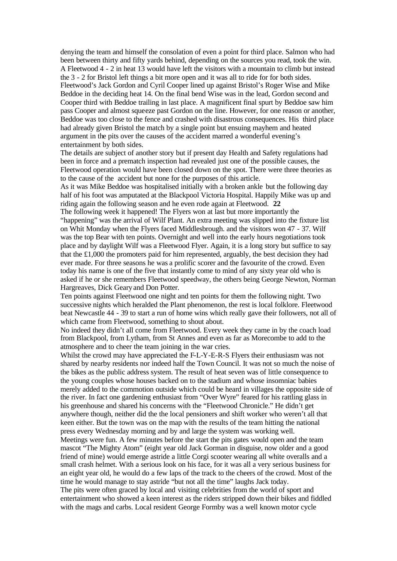denying the team and himself the consolation of even a point for third place. Salmon who had been between thirty and fifty yards behind, depending on the sources you read, took the win. A Fleetwood 4 - 2 in heat 13 would have left the visitors with a mountain to climb but instead the 3 - 2 for Bristol left things a bit more open and it was all to ride for for both sides. Fleetwood's Jack Gordon and Cyril Cooper lined up against Bristol's Roger Wise and Mike Beddoe in the deciding heat 14. On the final bend Wise was in the lead, Gordon second and Cooper third with Beddoe trailing in last place. A magnificent final spurt by Beddoe saw him pass Cooper and almost squeeze past Gordon on the line. However, for one reason or another, Beddoe was too close to the fence and crashed with disastrous consequences. His third place had already given Bristol the match by a single point but ensuing mayhem and heated argument in the pits over the causes of the accident marred a wonderful evening's entertainment by both sides.

The details are subject of another story but if present day Health and Safety regulations had been in force and a prematch inspection had revealed just one of the possible causes, the Fleetwood operation would have been closed down on the spot. There were three theories as to the cause of the accident but none for the purposes of this article.

As it was Mike Beddoe was hospitalised initially with a broken ankle but the following day half of his foot was amputated at the Blackpool Victoria Hospital. Happily Mike was up and riding again the following season and he even rode again at Fleetwood. **22** 

The following week it happened! The Flyers won at last but more importantly the "happening" was the arrival of Wilf Plant. An extra meeting was slipped into the fixture list on Whit Monday when the Flyers faced Middlesbrough. and the visitors won 47 - 37. Wilf was the top Bear with ten points. Overnight and well into the early hours negotiations took place and by daylight Wilf was a Fleetwood Flyer. Again, it is a long story but suffice to say that the £1,000 the promoters paid for him represented, arguably, the best decision they had ever made. For three seasons he was a prolific scorer and the favourite of the crowd. Even today his name is one of the five that instantly come to mind of any sixty year old who is asked if he or she remembers Fleetwood speedway, the others being George Newton, Norman Hargreaves, Dick Geary and Don Potter.

Ten points against Fleetwood one night and ten points for them the following night. Two successive nights which heralded the Plant phenomenon, the rest is local folklore. Fleetwood beat Newcastle 44 - 39 to start a run of home wins which really gave their followers, not all of which came from Fleetwood, something to shout about.

No indeed they didn't all come from Fleetwood. Every week they came in by the coach load from Blackpool, from Lytham, from St Annes and even as far as Morecombe to add to the atmosphere and to cheer the team joining in the war cries.

Whilst the crowd may have appreciated the F-L-Y-E-R-S Flyers their enthusiasm was not shared by nearby residents nor indeed half the Town Council. It was not so much the noise of the bikes as the public address system. The result of heat seven was of little consequence to the young couples whose houses backed on to the stadium and whose insomniac babies merely added to the commotion outside which could be heard in villages the opposite side of the river. In fact one gardening enthusiast from "Over Wyre" feared for his rattling glass in his greenhouse and shared his concerns with the "Fleetwood Chronicle." He didn't get anywhere though, neither did the the local pensioners and shift worker who weren't all that keen either. But the town was on the map with the results of the team hitting the national press every Wednesday morning and by and large the system was working well. Meetings were fun. A few minutes before the start the pits gates would open and the team mascot "The Mighty Atom" (eight year old Jack Gorman in disguise, now older and a good friend of mine) would emerge astride a little Corgi scooter wearing all white overalls and a small crash helmet. With a serious look on his face, for it was all a very serious business for an eight year old, he would do a few laps of the track to the cheers of the crowd. Most of the time he would manage to stay astride "but not all the time" laughs Jack today. The pits were often graced by local and visiting celebrities from the world of sport and entertainment who showed a keen interest as the riders stripped down their bikes and fiddled

with the mags and carbs. Local resident George Formby was a well known motor cycle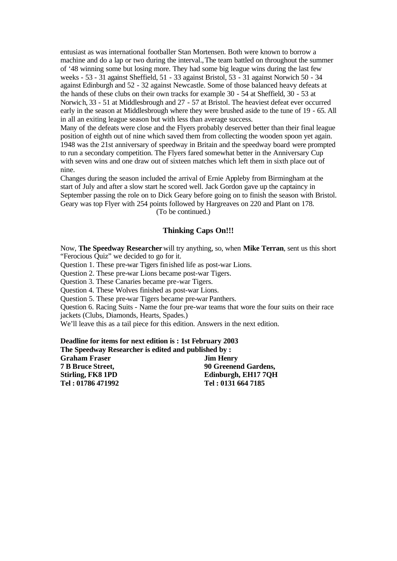entusiast as was international footballer Stan Mortensen. Both were known to borrow a machine and do a lap or two during the interval.,The team battled on throughout the summer of '48 winning some but losing more. They had some big league wins during the last few weeks - 53 - 31 against Sheffield, 51 - 33 against Bristol, 53 - 31 against Norwich 50 - 34 against Edinburgh and 52 - 32 against Newcastle. Some of those balanced heavy defeats at the hands of these clubs on their own tracks for example 30 - 54 at Sheffield, 30 - 53 at Norwich, 33 - 51 at Middlesbrough and 27 - 57 at Bristol. The heaviest defeat ever occurred early in the season at Middlesbrough where they were brushed aside to the tune of 19 - 65. All in all an exiting league season but with less than average success.

Many of the defeats were close and the Flyers probably deserved better than their final league position of eighth out of nine which saved them from collecting the wooden spoon yet again. 1948 was the 21st anniversary of speedway in Britain and the speedway board were prompted to run a secondary competition. The Flyers fared somewhat better in the Anniversary Cup with seven wins and one draw out of sixteen matches which left them in sixth place out of nine.

Changes during the season included the arrival of Ernie Appleby from Birmingham at the start of July and after a slow start he scored well. Jack Gordon gave up the captaincy in September passing the role on to Dick Geary before going on to finish the season with Bristol. Geary was top Flyer with 254 points followed by Hargreaves on 220 and Plant on 178. (To be continued.)

# **Thinking Caps On!!!**

Now, **The Speedway Researcher**will try anything, so, when **Mike Terran**, sent us this short "Ferocious Quiz" we decided to go for it.

Question 1. These pre-war Tigers finished life as post-war Lions.

Question 2. These pre-war Lions became post-war Tigers.

Question 3. These Canaries became pre-war Tigers.

Question 4. These Wolves finished as post-war Lions.

Question 5. These pre-war Tigers became pre-war Panthers.

Question 6. Racing Suits - Name the four pre-war teams that wore the four suits on their race jackets (Clubs, Diamonds, Hearts, Spades.)

We'll leave this as a tail piece for this edition. Answers in the next edition.

**Deadline for items for next edition is : 1st February 2003 The Speedway Researcher is edited and published** 

| The Speedway Researcher is edited and published by: |                      |
|-----------------------------------------------------|----------------------|
| <b>Graham Fraser</b>                                | <b>Jim Henry</b>     |
| <b>7 B Bruce Street,</b>                            | 90 Greenend Gardens, |
| Stirling, FK8 1PD                                   | Edinburgh, EH17 7QH  |
| Tel: 01786 471992                                   | Tel: 0131 664 7185   |